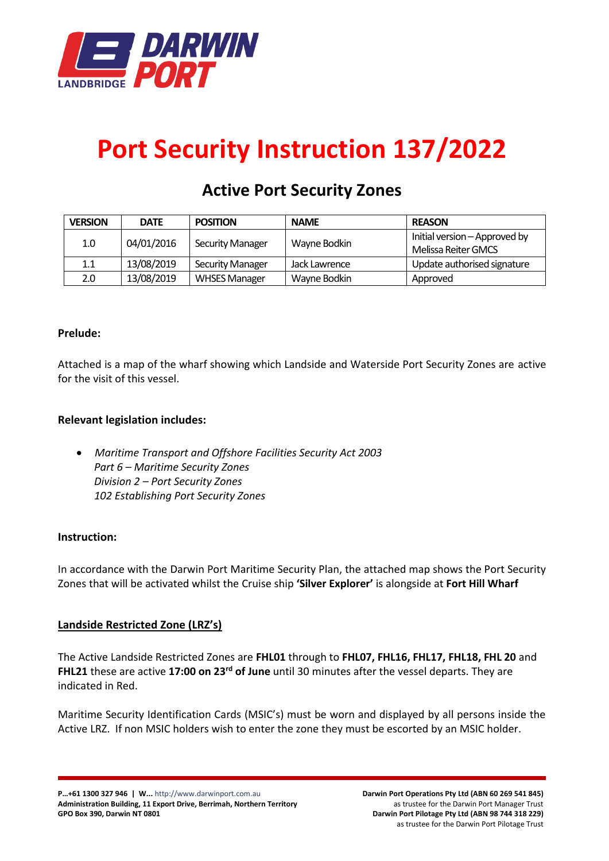

# **Port Security Instruction 137/2022**

# **Active Port Security Zones**

| <b>VERSION</b> | <b>DATE</b> | <b>POSITION</b>         | <b>NAME</b>   | <b>REASON</b>                 |
|----------------|-------------|-------------------------|---------------|-------------------------------|
| 1.0            | 04/01/2016  | <b>Security Manager</b> | Wayne Bodkin  | Initial version – Approved by |
|                |             |                         |               | Melissa Reiter GMCS           |
| 1.1            | 13/08/2019  | <b>Security Manager</b> | Jack Lawrence | Update authorised signature   |
| 2.0            | 13/08/2019  | <b>WHSES Manager</b>    | Wayne Bodkin  | Approved                      |

# **Prelude:**

Attached is a map of the wharf showing which Landside and Waterside Port Security Zones are active for the visit of this vessel.

# **Relevant legislation includes:**

• *Maritime Transport and Offshore Facilities Security Act 2003 Part 6 – Maritime Security Zones Division 2 – Port Security Zones 102 Establishing Port Security Zones*

#### **Instruction:**

In accordance with the Darwin Port Maritime Security Plan, the attached map shows the Port Security Zones that will be activated whilst the Cruise ship **'Silver Explorer'** is alongside at **Fort Hill Wharf**

#### **Landside Restricted Zone (LRZ's)**

The Active Landside Restricted Zones are **FHL01** through to **FHL07, FHL16, FHL17, FHL18, FHL 20** and **FHL21** these are active 17:00 on 23<sup>rd</sup> of June until 30 minutes after the vessel departs. They are indicated in Red.

Maritime Security Identification Cards (MSIC's) must be worn and displayed by all persons inside the Active LRZ. If non MSIC holders wish to enter the zone they must be escorted by an MSIC holder.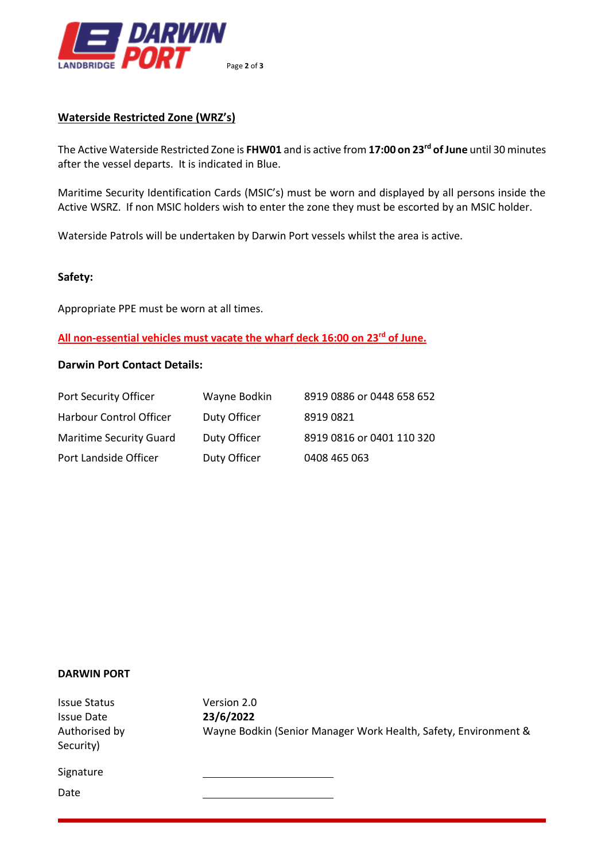

# **Waterside Restricted Zone (WRZ's)**

The Active Waterside Restricted Zone is **FHW01** and is active from **17:00 on 23 rd of June** until 30 minutes after the vessel departs. It is indicated in Blue.

Maritime Security Identification Cards (MSIC's) must be worn and displayed by all persons inside the Active WSRZ. If non MSIC holders wish to enter the zone they must be escorted by an MSIC holder.

Waterside Patrols will be undertaken by Darwin Port vessels whilst the area is active.

#### **Safety:**

Appropriate PPE must be worn at all times.

**All non-essential vehicles must vacate the wharf deck 16:00 on 23 rd of June.**

#### **Darwin Port Contact Details:**

| Port Security Officer          | Wayne Bodkin | 8919 0886 or 0448 658 652 |
|--------------------------------|--------------|---------------------------|
| <b>Harbour Control Officer</b> | Duty Officer | 89190821                  |
| <b>Maritime Security Guard</b> | Duty Officer | 8919 0816 or 0401 110 320 |
| Port Landside Officer          | Duty Officer | 0408 465 063              |

#### **DARWIN PORT**

Issue Status Version 2.0 Issue Date **23/6/2022** Authorised by Wayne Bodkin (Senior Manager Work Health, Safety, Environment & Security) Signature Date